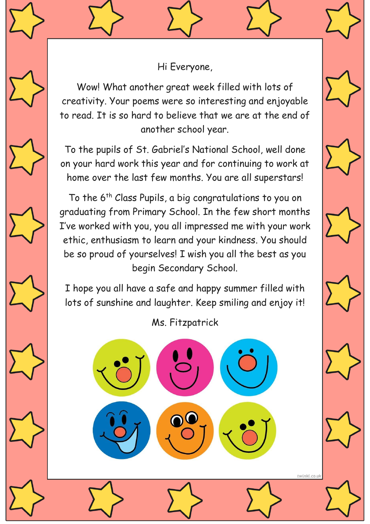Hi Everyone,

Wow! What another great week filled with lots of creativity. Your poems were so interesting and enjoyable to read. It is so hard to believe that we are at the end of another school year.

To the pupils of St. Gabriel's National School, well done on your hard work this year and for continuing to work at home over the last few months. You are all superstars!

To the 6<sup>th</sup> Class Pupils, a big congratulations to you on graduating from Primary School. In the few short months I've worked with you, you all impressed me with your work ethic, enthusiasm to learn and your kindness. You should be so proud of yourselves! I wish you all the best as you begin Secondary School.

I hope you all have a safe and happy summer filled with lots of sunshine and laughter. Keep smiling and enjoy it!

Ms. Fitzpatrick

twinkl.co.uk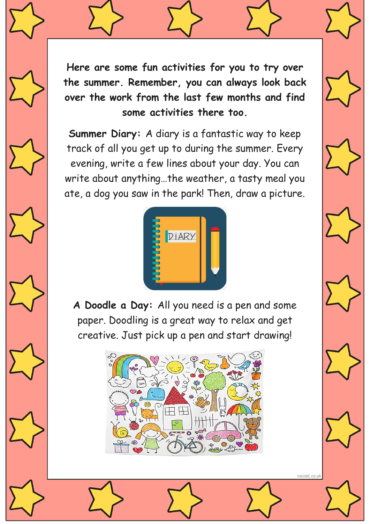**Here are some fun activities for you to try over the summer. Remember, you can always look back over the work from the last few months and find some activities there too.**

**Summer Diary:** A diary is a fantastic way to keep track of all you get up to during the summer. Every evening, write a few lines about your day. You can write about anything…the weather, a tasty meal you ate, a dog you saw in the park! Then, draw a picture.



**A Doodle a Day:** All you need is a pen and some paper. Doodling is a great way to relax and get creative. Just pick up a pen and start drawing!



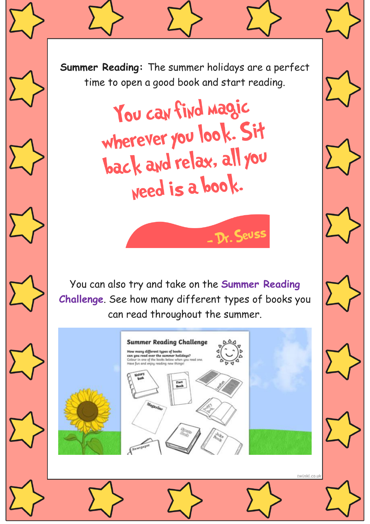

You can find magic wherever you look. Sit back and relax, all you weed is a book.

You can also try and take on the **Summer Reading Challenge**. See how many different types of books you can read throughout the summer.

- Dr. Seuss

twinkl.co.uk

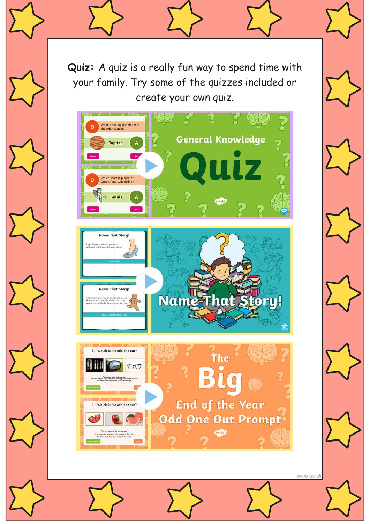